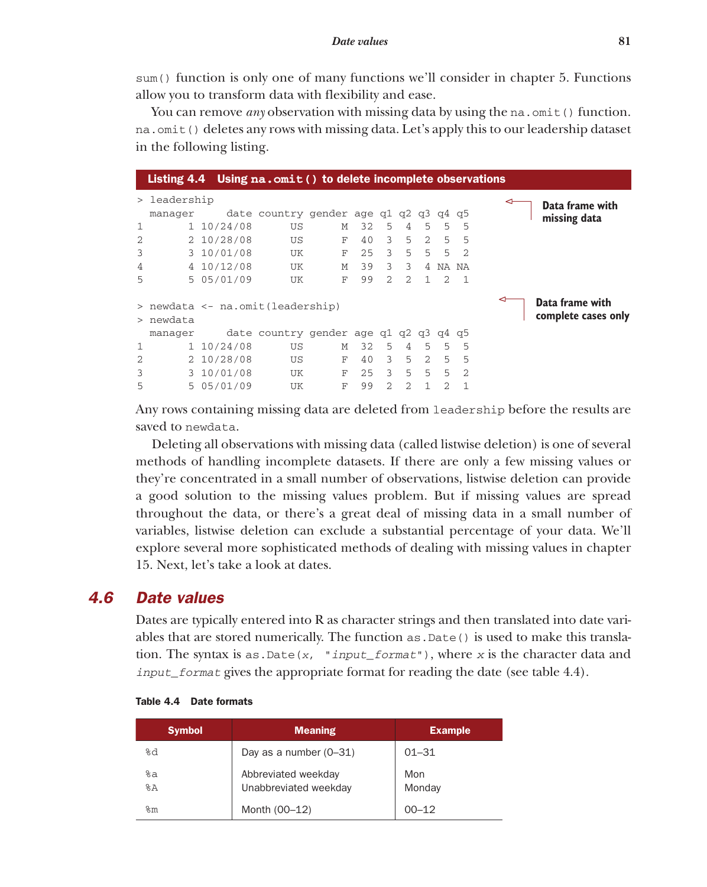sum() function is only one of many functions we'll consider in [chapter 5.](#page--1-0) Functions allow you to transform data with flexibility and ease.

You can remove *any* observation with missing data by using the na. omit () function. na.omit() deletes any rows with missing data. Let's apply this to our leadership dataset in the following listing.

|                | Listing 4.4 Using na. omit () to delete incomplete observations |            |                                        |   |     |                |               |               |               |                |                                        |
|----------------|-----------------------------------------------------------------|------------|----------------------------------------|---|-----|----------------|---------------|---------------|---------------|----------------|----------------------------------------|
|                | > leadership                                                    |            |                                        |   |     |                |               |               |               |                | ◅<br>Data frame with                   |
|                | manager                                                         |            | date country gender age q1 q2 q3 q4 q5 |   |     |                |               |               |               |                | missing data                           |
| 1              |                                                                 | 1 10/24/08 | US                                     | M | 32  | 5              | 4             | 5             | 5             | -5             |                                        |
| $\mathfrak{D}$ |                                                                 | 2 10/28/08 | US                                     | F | 40  | 3              | .5            | $\mathcal{L}$ | - 5           | -5             |                                        |
| 3              |                                                                 | 3 10/01/08 | UK                                     | F | 2.5 | 3              | 5             | 5.            | 5             | $\mathcal{L}$  |                                        |
| 4              |                                                                 | 4 10/12/08 | UK                                     | M | 39  | 3              | 3             | 4             |               | NA NA          |                                        |
| 5              |                                                                 | 5 05/01/09 | UK                                     | F | 99  | $\mathfrak{D}$ | $\mathcal{L}$ | 1.            | $\mathcal{L}$ | $\overline{1}$ |                                        |
|                | > newdata <- na.omit(leadership)<br>> newdata                   |            |                                        |   |     |                |               |               |               |                | Data frame with<br>complete cases only |
|                | manager                                                         |            | date country gender age q1 q2 q3 q4    |   |     |                |               |               |               | a5             |                                        |
| $\mathbf{1}$   |                                                                 | 1 10/24/08 | US                                     | M | 32  | 5              | 4             | 5             | 5             | .5             |                                        |
| 2              |                                                                 | 2 10/28/08 | US                                     | F | 40  | 3              | 5             | $\mathcal{L}$ | 5             | .5             |                                        |
| 3              |                                                                 | 3 10/01/08 | UK                                     | F | 2.5 | 3              | 5             | 5             | 5             | $\mathfrak{D}$ |                                        |
| 5              |                                                                 | 5 05/01/09 | UK                                     | F | 99  | $\mathfrak{D}$ | $\mathcal{L}$ | 1.            | $\mathcal{D}$ | -1             |                                        |

Any rows containing missing data are deleted from leadership before the results are saved to newdata.

Deleting all observations with missing data (called listwise deletion ) is one of several methods of handling incomplete datasets. If there are only a few missing values or they're concentrated in a small number of observations, listwise deletion can provide a good solution to the missing values problem. But if missing values are spread throughout the data, or there's a great deal of missing data in a small number of variables, listwise deletion can exclude a substantial percentage of your data. We'll explore several more sophisticated methods of dealing with missing values in [chapter](#page--1-0) [15.](#page--1-0) Next, let's take a look at dates.

# *4.6 Date values*

Dates are typically entered into R as character strings and then translated into date variables that are stored numerically. The function  $as.Date()$  is used to make this translation. The syntax is as.Date(*x*, "*input\_format*") , where *x* is the character data and *input\_format* gives the appropriate format for reading the date (see table 4.4).

| <b>Symbol</b> | <b>Meaning</b>                               | <b>Example</b> |
|---------------|----------------------------------------------|----------------|
| %d            | Day as a number $(0-31)$                     | $01 - 31$      |
| %a<br>%A      | Abbreviated weekday<br>Unabbreviated weekday | Mon<br>Monday  |
| $\mathrm{8m}$ | Month (00-12)                                | $00 - 12$      |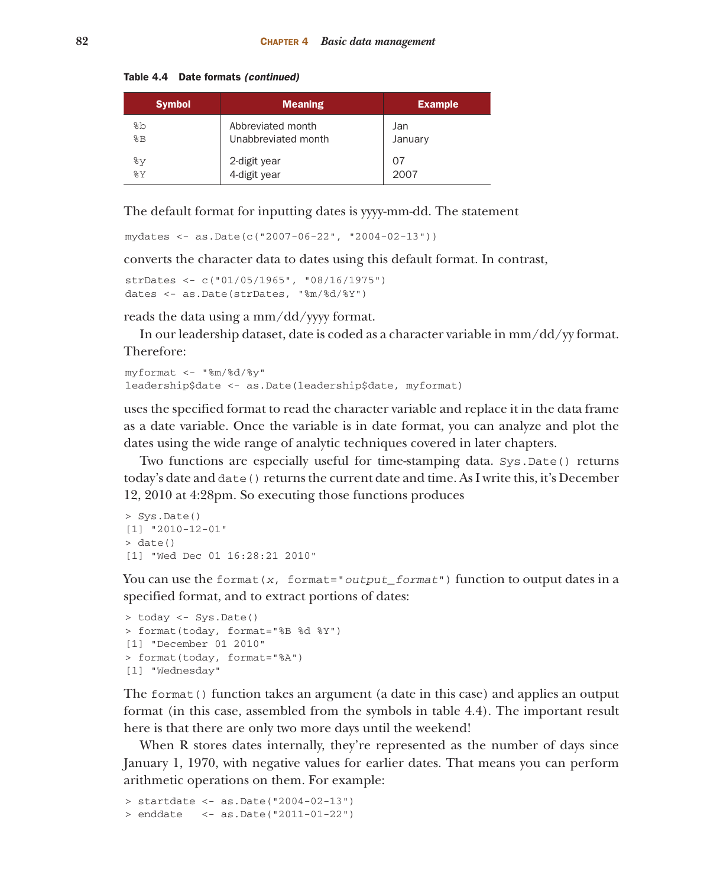| <b>Symbol</b> | <b>Meaning</b>                           | <b>Example</b> |
|---------------|------------------------------------------|----------------|
| 8b<br>8B      | Abbreviated month<br>Unabbreviated month | Jan<br>January |
| %y<br>8Y      | 2-digit year<br>4-digit year             | 07<br>2007     |

Table 4.4 Date formats *(continued)*

The default format for inputting dates is yyyy-mm-dd. The statement

mydates <- as.Date(c("2007-06-22", "2004-02-13"))

converts the character data to dates using this default format. In contrast,

```
strDates <- c("01/05/1965", "08/16/1975")
dates <- as.Date(strDates, "%m/%d/%Y")
```
reads the data using a mm/dd/yyyy format.

In our leadership dataset, date is coded as a character variable in mm/dd/yy format. Therefore:

```
myformat <- "%m/%d/%y"
leadership$date <- as.Date(leadership$date, myformat)
```
uses the specified format to read the character variable and replace it in the data frame as a date variable. Once the variable is in date format, you can analyze and plot the dates using the wide range of analytic techniques covered in later chapters.

Two functions are especially useful for time-stamping data . Sys.Date() returns today's date and date() returns the current date and time. As I write this, it's December 12, 2010 at 4:28pm. So executing those functions produces

```
> Sys.Date()
[1] "2010-12-01"
> date()
[1] "Wed Dec 01 16:28:21 2010"
```
You can use the format(*x*, format="*output\_format*") function to output dates in a specified format, and to extract portions of dates:

```
> today <- Sys.Date()
> format(today, format="%B %d %Y")
[1] "December 01 2010"
> format(today, format="%A")
[1] "Wednesday"
```
The format() function takes an argument (a date in this case) and applies an output format (in this case, assembled from the symbols in table 4.4). The important result here is that there are only two more days until the weekend!

When R stores dates internally, they're represented as the number of days since January 1, 1970, with negative values for earlier dates. That means you can perform arithmetic operations on them. For example:

```
> startdate <- as.Date("2004-02-13")
> enddate <- as.Date("2011-01-22")
```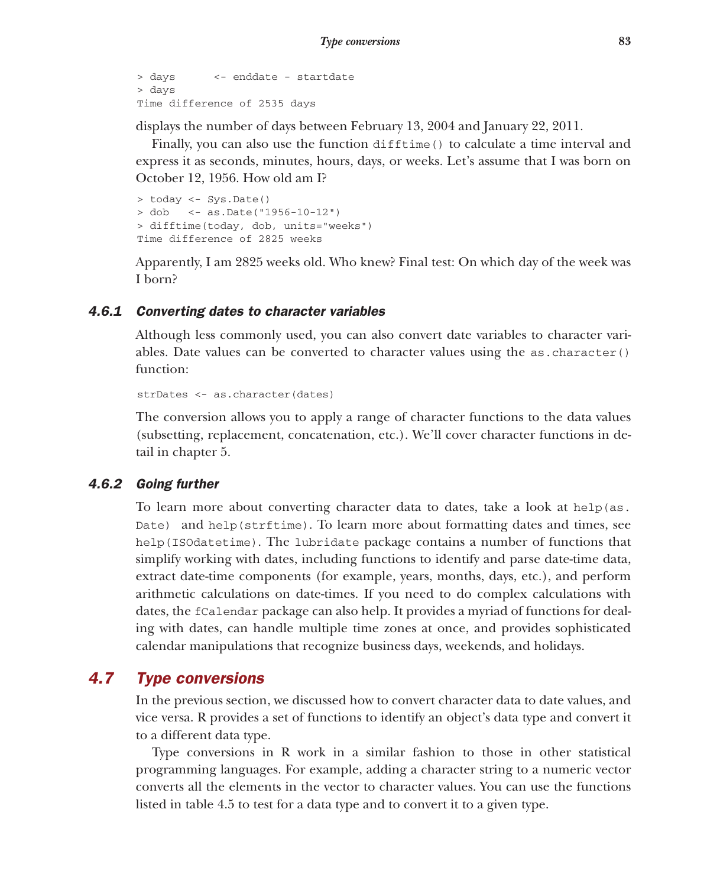```
> days <- enddate - startdate
> days
Time difference of 2535 days
```
displays the number of days between February 13, 2004 and January 22, 2011.

Finally, you can also use the function difftime() to calculate a time interval and express it as seconds, minutes, hours, days, or weeks. Let's assume that I was born on October 12, 1956. How old am I?

```
> today <- Sys.Date()
> dob <- as.Date("1956-10-12")
> difftime(today, dob, units="weeks")
Time difference of 2825 weeks
```
Apparently, I am 2825 weeks old. Who knew? Final test: On which day of the week was I born?

### *4.6.1 Converting dates to character variables*

Although less commonly used, you can also convert date variables to character variables. Date values can be converted to character values using the as.character() function:

strDates <- as.character(dates)

The conversion allows you to apply a range of character functions to the data values (subsetting, replacement, concatenation, etc.). We'll cover character functions in detail in [chapter 5.](#page--1-0)

#### *4.6.2 Going further*

To learn more about converting character data to dates, take a look at help(as. Date) and help(strftime) . To learn more about formatting dates and times, see help(ISOdatetime) . The lubridate package contains a number of functions that simplify working with dates, including functions to identify and parse date-time data, extract date-time components (for example, years, months, days, etc.), and perform arithmetic calculations on date-times. If you need to do complex calculations with dates, the fCalendar package can also help. It provides a myriad of functions for dealing with dates, can handle multiple time zones at once, and provides sophisticated calendar manipulations that recognize business days, weekends, and holidays.

## *4.7 Type conversions*

In the previous section, we discussed how to convert character data to date values, and vice versa. R provides a set of functions to identify an object's data type and convert it to a different data type.

Type conversions in R work in a similar fashion to those in other statistical programming languages. For example, adding a character string to a numeric vector converts all the elements in the vector to character values. You can use the functions listed in [table 4.5](#page-3-0) to test for a data type and to convert it to a given type.